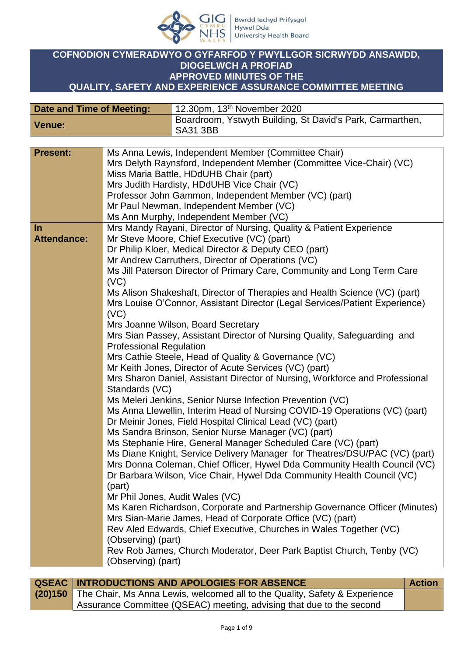

## **COFNODION CYMERADWYO O GYFARFOD Y PWYLLGOR SICRWYDD ANSAWDD, DIOGELWCH A PROFIAD APPROVED MINUTES OF THE QUALITY, SAFETY AND EXPERIENCE ASSURANCE COMMITTEE MEETING**

| Date and Time of Meeting: | 12.30pm, 13 <sup>th</sup> November 2020                                 |
|---------------------------|-------------------------------------------------------------------------|
| <b>Venue:</b>             | Boardroom, Ystwyth Building, St David's Park, Carmarthen,<br>  SA31 3BB |

| Mrs Delyth Raynsford, Independent Member (Committee Vice-Chair) (VC)<br>Miss Maria Battle, HDdUHB Chair (part) |  |
|----------------------------------------------------------------------------------------------------------------|--|
|                                                                                                                |  |
|                                                                                                                |  |
| Mrs Judith Hardisty, HDdUHB Vice Chair (VC)                                                                    |  |
| Professor John Gammon, Independent Member (VC) (part)                                                          |  |
| Mr Paul Newman, Independent Member (VC)                                                                        |  |
| Ms Ann Murphy, Independent Member (VC)                                                                         |  |
| Mrs Mandy Rayani, Director of Nursing, Quality & Patient Experience<br>$\ln$                                   |  |
| Mr Steve Moore, Chief Executive (VC) (part)<br><b>Attendance:</b>                                              |  |
| Dr Philip Kloer, Medical Director & Deputy CEO (part)                                                          |  |
| Mr Andrew Carruthers, Director of Operations (VC)                                                              |  |
| Ms Jill Paterson Director of Primary Care, Community and Long Term Care                                        |  |
| (VC)                                                                                                           |  |
| Ms Alison Shakeshaft, Director of Therapies and Health Science (VC) (part)                                     |  |
| Mrs Louise O'Connor, Assistant Director (Legal Services/Patient Experience)                                    |  |
| (VC)                                                                                                           |  |
| Mrs Joanne Wilson, Board Secretary                                                                             |  |
| Mrs Sian Passey, Assistant Director of Nursing Quality, Safeguarding and                                       |  |
| <b>Professional Regulation</b>                                                                                 |  |
| Mrs Cathie Steele, Head of Quality & Governance (VC)                                                           |  |
| Mr Keith Jones, Director of Acute Services (VC) (part)                                                         |  |
| Mrs Sharon Daniel, Assistant Director of Nursing, Workforce and Professional                                   |  |
| Standards (VC)                                                                                                 |  |
| Ms Meleri Jenkins, Senior Nurse Infection Prevention (VC)                                                      |  |
| Ms Anna Llewellin, Interim Head of Nursing COVID-19 Operations (VC) (part)                                     |  |
| Dr Meinir Jones, Field Hospital Clinical Lead (VC) (part)                                                      |  |
| Ms Sandra Brinson, Senior Nurse Manager (VC) (part)                                                            |  |
| Ms Stephanie Hire, General Manager Scheduled Care (VC) (part)                                                  |  |
| Ms Diane Knight, Service Delivery Manager for Theatres/DSU/PAC (VC) (part)                                     |  |
| Mrs Donna Coleman, Chief Officer, Hywel Dda Community Health Council (VC)                                      |  |
| Dr Barbara Wilson, Vice Chair, Hywel Dda Community Health Council (VC)                                         |  |
| (part)                                                                                                         |  |
| Mr Phil Jones, Audit Wales (VC)                                                                                |  |
| Ms Karen Richardson, Corporate and Partnership Governance Officer (Minutes)                                    |  |
| Mrs Sian-Marie James, Head of Corporate Office (VC) (part)                                                     |  |
| Rev Aled Edwards, Chief Executive, Churches in Wales Together (VC)                                             |  |
| (Observing) (part)                                                                                             |  |
| Rev Rob James, Church Moderator, Deer Park Baptist Church, Tenby (VC)                                          |  |
| (Observing) (part)                                                                                             |  |

| <b>QSEAC INTRODUCTIONS AND APOLOGIES FOR ABSENCE</b>                               | <b>Action</b> |
|------------------------------------------------------------------------------------|---------------|
| (20)150 The Chair, Ms Anna Lewis, welcomed all to the Quality, Safety & Experience |               |
| Assurance Committee (QSEAC) meeting, advising that due to the second               |               |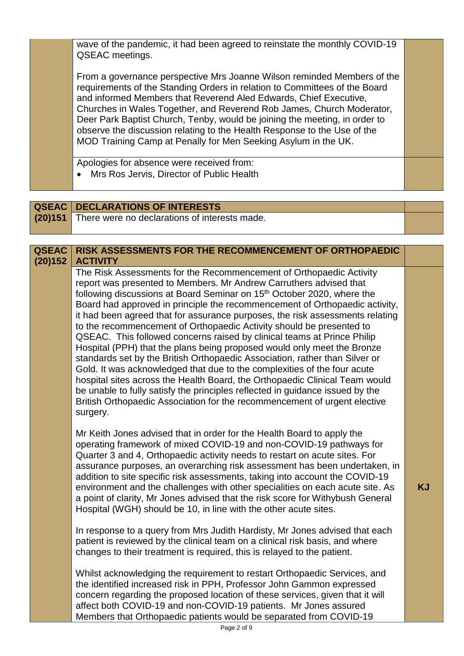wave of the pandemic, it had been agreed to reinstate the monthly COVID-19 QSEAC meetings.

From a governance perspective Mrs Joanne Wilson reminded Members of the requirements of the Standing Orders in relation to Committees of the Board and informed Members that Reverend Aled Edwards, Chief Executive, Churches in Wales Together, and Reverend Rob James, Church Moderator, Deer Park Baptist Church, Tenby, would be joining the meeting, in order to observe the discussion relating to the Health Response to the Use of the MOD Training Camp at Penally for Men Seeking Asylum in the UK.

Apologies for absence were received from:

Mrs Ros Jervis, Director of Public Health

| <b>QSEAC   DECLARATIONS OF INTERESTS</b>              |  |
|-------------------------------------------------------|--|
| (20)151 There were no declarations of interests made. |  |

| <b>QSEAC</b><br>(20)152 | RISK ASSESSMENTS FOR THE RECOMMENCEMENT OF ORTHOPAEDIC<br><b>ACTIVITY</b>                                                                                                                                                                                                                                                                                                                                                                                                                                                                                                                                                                                                                                                                                                                                                                                                                                                                                                                                                                         |  |
|-------------------------|---------------------------------------------------------------------------------------------------------------------------------------------------------------------------------------------------------------------------------------------------------------------------------------------------------------------------------------------------------------------------------------------------------------------------------------------------------------------------------------------------------------------------------------------------------------------------------------------------------------------------------------------------------------------------------------------------------------------------------------------------------------------------------------------------------------------------------------------------------------------------------------------------------------------------------------------------------------------------------------------------------------------------------------------------|--|
|                         | The Risk Assessments for the Recommencement of Orthopaedic Activity<br>report was presented to Members. Mr Andrew Carruthers advised that<br>following discussions at Board Seminar on 15 <sup>th</sup> October 2020, where the<br>Board had approved in principle the recommencement of Orthopaedic activity,<br>it had been agreed that for assurance purposes, the risk assessments relating<br>to the recommencement of Orthopaedic Activity should be presented to<br>QSEAC. This followed concerns raised by clinical teams at Prince Philip<br>Hospital (PPH) that the plans being proposed would only meet the Bronze<br>standards set by the British Orthopaedic Association, rather than Silver or<br>Gold. It was acknowledged that due to the complexities of the four acute<br>hospital sites across the Health Board, the Orthopaedic Clinical Team would<br>be unable to fully satisfy the principles reflected in guidance issued by the<br>British Orthopaedic Association for the recommencement of urgent elective<br>surgery. |  |
|                         | Mr Keith Jones advised that in order for the Health Board to apply the<br>operating framework of mixed COVID-19 and non-COVID-19 pathways for<br>Quarter 3 and 4, Orthopaedic activity needs to restart on acute sites. For<br>assurance purposes, an overarching risk assessment has been undertaken, in<br>addition to site specific risk assessments, taking into account the COVID-19<br>environment and the challenges with other specialities on each acute site. As<br>a point of clarity, Mr Jones advised that the risk score for Withybush General<br>Hospital (WGH) should be 10, in line with the other acute sites.                                                                                                                                                                                                                                                                                                                                                                                                                  |  |
|                         | In response to a query from Mrs Judith Hardisty, Mr Jones advised that each<br>patient is reviewed by the clinical team on a clinical risk basis, and where<br>changes to their treatment is required, this is relayed to the patient.                                                                                                                                                                                                                                                                                                                                                                                                                                                                                                                                                                                                                                                                                                                                                                                                            |  |
|                         | Whilst acknowledging the requirement to restart Orthopaedic Services, and<br>the identified increased risk in PPH, Professor John Gammon expressed<br>concern regarding the proposed location of these services, given that it will<br>affect both COVID-19 and non-COVID-19 patients. Mr Jones assured<br>Members that Orthopaedic patients would be separated from COVID-19                                                                                                                                                                                                                                                                                                                                                                                                                                                                                                                                                                                                                                                                     |  |

**KJ**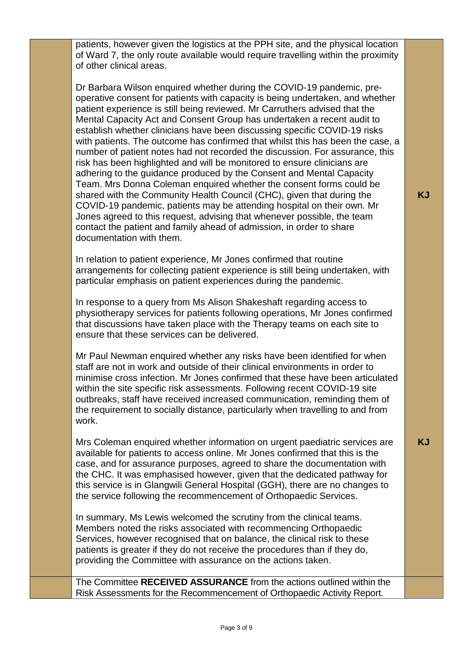patients, however given the logistics at the PPH site, and the physical location of Ward 7, the only route available would require travelling within the proximity of other clinical areas.

Dr Barbara Wilson enquired whether during the COVID-19 pandemic, preoperative consent for patients with capacity is being undertaken, and whether patient experience is still being reviewed. Mr Carruthers advised that the Mental Capacity Act and Consent Group has undertaken a recent audit to establish whether clinicians have been discussing specific COVID-19 risks with patients. The outcome has confirmed that whilst this has been the case, a number of patient notes had not recorded the discussion. For assurance, this risk has been highlighted and will be monitored to ensure clinicians are adhering to the guidance produced by the Consent and Mental Capacity Team. Mrs Donna Coleman enquired whether the consent forms could be shared with the Community Health Council (CHC), given that during the COVID-19 pandemic, patients may be attending hospital on their own. Mr Jones agreed to this request, advising that whenever possible, the team contact the patient and family ahead of admission, in order to share documentation with them.

In relation to patient experience, Mr Jones confirmed that routine arrangements for collecting patient experience is still being undertaken, with particular emphasis on patient experiences during the pandemic.

In response to a query from Ms Alison Shakeshaft regarding access to physiotherapy services for patients following operations, Mr Jones confirmed that discussions have taken place with the Therapy teams on each site to ensure that these services can be delivered.

Mr Paul Newman enquired whether any risks have been identified for when staff are not in work and outside of their clinical environments in order to minimise cross infection. Mr Jones confirmed that these have been articulated within the site specific risk assessments. Following recent COVID-19 site outbreaks, staff have received increased communication, reminding them of the requirement to socially distance, particularly when travelling to and from work.

Mrs Coleman enquired whether information on urgent paediatric services are available for patients to access online. Mr Jones confirmed that this is the case, and for assurance purposes, agreed to share the documentation with the CHC. It was emphasised however, given that the dedicated pathway for this service is in Glangwili General Hospital (GGH), there are no changes to the service following the recommencement of Orthopaedic Services.

In summary, Ms Lewis welcomed the scrutiny from the clinical teams. Members noted the risks associated with recommencing Orthopaedic Services, however recognised that on balance, the clinical risk to these patients is greater if they do not receive the procedures than if they do, providing the Committee with assurance on the actions taken.

The Committee **RECEIVED ASSURANCE** from the actions outlined within the Risk Assessments for the Recommencement of Orthopaedic Activity Report.

**KJ**

**KJ**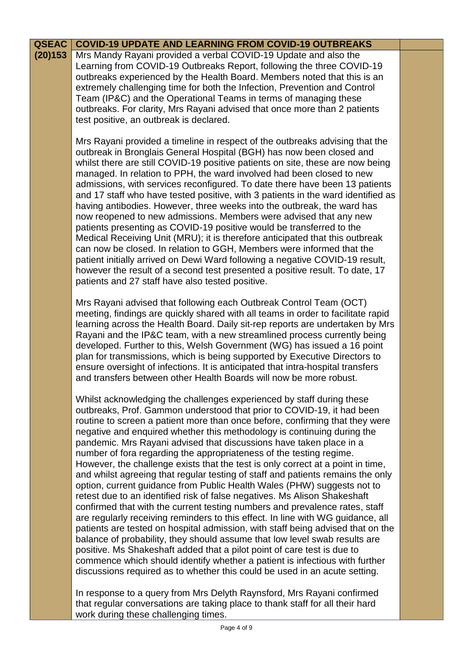| <b>QSEAC</b> | <b>COVID-19 UPDATE AND LEARNING FROM COVID-19 OUTBREAKS</b>                                                                                                                                                                                                                                                                                                                                                                                                                                                                                                                                                                                                                                                                                                                                                                                                                                                                                                                                                                                                                                                                                                                                                                                                                                                                                                       |  |
|--------------|-------------------------------------------------------------------------------------------------------------------------------------------------------------------------------------------------------------------------------------------------------------------------------------------------------------------------------------------------------------------------------------------------------------------------------------------------------------------------------------------------------------------------------------------------------------------------------------------------------------------------------------------------------------------------------------------------------------------------------------------------------------------------------------------------------------------------------------------------------------------------------------------------------------------------------------------------------------------------------------------------------------------------------------------------------------------------------------------------------------------------------------------------------------------------------------------------------------------------------------------------------------------------------------------------------------------------------------------------------------------|--|
| (20)153      | Mrs Mandy Rayani provided a verbal COVID-19 Update and also the<br>Learning from COVID-19 Outbreaks Report, following the three COVID-19<br>outbreaks experienced by the Health Board. Members noted that this is an<br>extremely challenging time for both the Infection, Prevention and Control<br>Team (IP&C) and the Operational Teams in terms of managing these<br>outbreaks. For clarity, Mrs Rayani advised that once more than 2 patients<br>test positive, an outbreak is declared.                                                                                                                                                                                                                                                                                                                                                                                                                                                                                                                                                                                                                                                                                                                                                                                                                                                                     |  |
|              | Mrs Rayani provided a timeline in respect of the outbreaks advising that the<br>outbreak in Bronglais General Hospital (BGH) has now been closed and<br>whilst there are still COVID-19 positive patients on site, these are now being<br>managed. In relation to PPH, the ward involved had been closed to new<br>admissions, with services reconfigured. To date there have been 13 patients<br>and 17 staff who have tested positive, with 3 patients in the ward identified as<br>having antibodies. However, three weeks into the outbreak, the ward has<br>now reopened to new admissions. Members were advised that any new<br>patients presenting as COVID-19 positive would be transferred to the<br>Medical Receiving Unit (MRU); it is therefore anticipated that this outbreak<br>can now be closed. In relation to GGH, Members were informed that the<br>patient initially arrived on Dewi Ward following a negative COVID-19 result,<br>however the result of a second test presented a positive result. To date, 17<br>patients and 27 staff have also tested positive.                                                                                                                                                                                                                                                                           |  |
|              | Mrs Rayani advised that following each Outbreak Control Team (OCT)<br>meeting, findings are quickly shared with all teams in order to facilitate rapid<br>learning across the Health Board. Daily sit-rep reports are undertaken by Mrs<br>Rayani and the IP&C team, with a new streamlined process currently being<br>developed. Further to this, Welsh Government (WG) has issued a 16 point<br>plan for transmissions, which is being supported by Executive Directors to<br>ensure oversight of infections. It is anticipated that intra-hospital transfers<br>and transfers between other Health Boards will now be more robust.                                                                                                                                                                                                                                                                                                                                                                                                                                                                                                                                                                                                                                                                                                                             |  |
|              | Whilst acknowledging the challenges experienced by staff during these<br>outbreaks, Prof. Gammon understood that prior to COVID-19, it had been<br>routine to screen a patient more than once before, confirming that they were<br>negative and enquired whether this methodology is continuing during the<br>pandemic. Mrs Rayani advised that discussions have taken place in a<br>number of fora regarding the appropriateness of the testing regime.<br>However, the challenge exists that the test is only correct at a point in time,<br>and whilst agreeing that regular testing of staff and patients remains the only<br>option, current guidance from Public Health Wales (PHW) suggests not to<br>retest due to an identified risk of false negatives. Ms Alison Shakeshaft<br>confirmed that with the current testing numbers and prevalence rates, staff<br>are regularly receiving reminders to this effect. In line with WG guidance, all<br>patients are tested on hospital admission, with staff being advised that on the<br>balance of probability, they should assume that low level swab results are<br>positive. Ms Shakeshaft added that a pilot point of care test is due to<br>commence which should identify whether a patient is infectious with further<br>discussions required as to whether this could be used in an acute setting. |  |

In response to a query from Mrs Delyth Raynsford, Mrs Rayani confirmed that regular conversations are taking place to thank staff for all their hard work during these challenging times.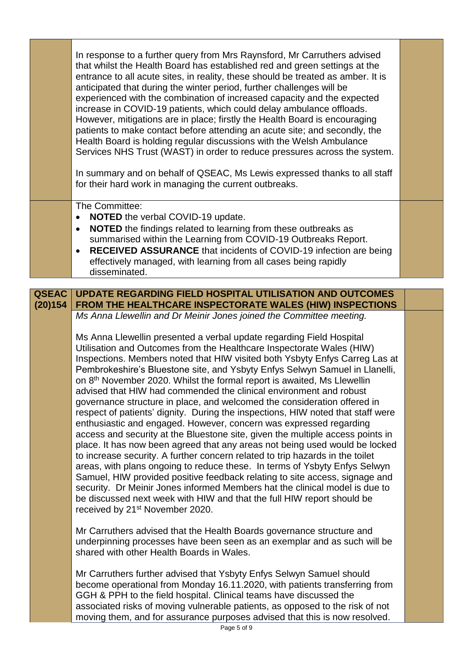|              | In response to a further query from Mrs Raynsford, Mr Carruthers advised<br>that whilst the Health Board has established red and green settings at the<br>entrance to all acute sites, in reality, these should be treated as amber. It is<br>anticipated that during the winter period, further challenges will be<br>experienced with the combination of increased capacity and the expected<br>increase in COVID-19 patients, which could delay ambulance offloads.<br>However, mitigations are in place; firstly the Health Board is encouraging<br>patients to make contact before attending an acute site; and secondly, the<br>Health Board is holding regular discussions with the Welsh Ambulance<br>Services NHS Trust (WAST) in order to reduce pressures across the system.<br>In summary and on behalf of QSEAC, Ms Lewis expressed thanks to all staff<br>for their hard work in managing the current outbreaks.                                                                                                                                                                                                                                                                                                                                                                                                       |  |
|--------------|--------------------------------------------------------------------------------------------------------------------------------------------------------------------------------------------------------------------------------------------------------------------------------------------------------------------------------------------------------------------------------------------------------------------------------------------------------------------------------------------------------------------------------------------------------------------------------------------------------------------------------------------------------------------------------------------------------------------------------------------------------------------------------------------------------------------------------------------------------------------------------------------------------------------------------------------------------------------------------------------------------------------------------------------------------------------------------------------------------------------------------------------------------------------------------------------------------------------------------------------------------------------------------------------------------------------------------------|--|
|              | The Committee:<br>NOTED the verbal COVID-19 update.<br>$\bullet$<br>NOTED the findings related to learning from these outbreaks as<br>$\bullet$<br>summarised within the Learning from COVID-19 Outbreaks Report.<br>RECEIVED ASSURANCE that incidents of COVID-19 infection are being<br>effectively managed, with learning from all cases being rapidly<br>disseminated.                                                                                                                                                                                                                                                                                                                                                                                                                                                                                                                                                                                                                                                                                                                                                                                                                                                                                                                                                           |  |
|              |                                                                                                                                                                                                                                                                                                                                                                                                                                                                                                                                                                                                                                                                                                                                                                                                                                                                                                                                                                                                                                                                                                                                                                                                                                                                                                                                      |  |
| <b>QSEAC</b> | <b>UPDATE REGARDING FIELD HOSPITAL UTILISATION AND OUTCOMES</b>                                                                                                                                                                                                                                                                                                                                                                                                                                                                                                                                                                                                                                                                                                                                                                                                                                                                                                                                                                                                                                                                                                                                                                                                                                                                      |  |
| (20)154      | FROM THE HEALTHCARE INSPECTORATE WALES (HIW) INSPECTIONS                                                                                                                                                                                                                                                                                                                                                                                                                                                                                                                                                                                                                                                                                                                                                                                                                                                                                                                                                                                                                                                                                                                                                                                                                                                                             |  |
|              | Ms Anna Llewellin and Dr Meinir Jones joined the Committee meeting.                                                                                                                                                                                                                                                                                                                                                                                                                                                                                                                                                                                                                                                                                                                                                                                                                                                                                                                                                                                                                                                                                                                                                                                                                                                                  |  |
|              | Ms Anna Llewellin presented a verbal update regarding Field Hospital<br>Utilisation and Outcomes from the Healthcare Inspectorate Wales (HIW)<br>Inspections. Members noted that HIW visited both Ysbyty Enfys Carreg Las at<br>Pembrokeshire's Bluestone site, and Ysbyty Enfys Selwyn Samuel in Llanelli,<br>on 8 <sup>th</sup> November 2020. Whilst the formal report is awaited, Ms Llewellin<br>advised that HIW had commended the clinical environment and robust<br>governance structure in place, and welcomed the consideration offered in<br>respect of patients' dignity. During the inspections, HIW noted that staff were<br>enthusiastic and engaged. However, concern was expressed regarding<br>access and security at the Bluestone site, given the multiple access points in<br>place. It has now been agreed that any areas not being used would be locked<br>to increase security. A further concern related to trip hazards in the toilet<br>areas, with plans ongoing to reduce these. In terms of Ysbyty Enfys Selwyn<br>Samuel, HIW provided positive feedback relating to site access, signage and<br>security. Dr Meinir Jones informed Members hat the clinical model is due to<br>be discussed next week with HIW and that the full HIW report should be<br>received by 21 <sup>st</sup> November 2020. |  |
|              | Mr Carruthers advised that the Health Boards governance structure and<br>underpinning processes have been seen as an exemplar and as such will be<br>shared with other Health Boards in Wales.                                                                                                                                                                                                                                                                                                                                                                                                                                                                                                                                                                                                                                                                                                                                                                                                                                                                                                                                                                                                                                                                                                                                       |  |
|              | Mr Carruthers further advised that Ysbyty Enfys Selwyn Samuel should<br>become operational from Monday 16.11.2020, with patients transferring from<br>GGH & PPH to the field hospital. Clinical teams have discussed the<br>associated risks of moving vulnerable patients, as opposed to the risk of not<br>moving them, and for assurance purposes advised that this is now resolved.<br>Dao E of Q                                                                                                                                                                                                                                                                                                                                                                                                                                                                                                                                                                                                                                                                                                                                                                                                                                                                                                                                |  |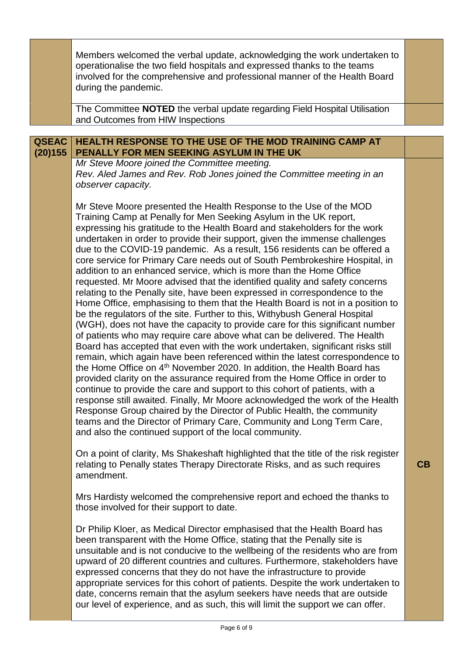|              | Members welcomed the verbal update, acknowledging the work undertaken to<br>operationalise the two field hospitals and expressed thanks to the teams<br>involved for the comprehensive and professional manner of the Health Board<br>during the pandemic.                                                                                                                                                                                                                                                                                                                                                                                                                                                                                                                                                                                                                                                                                                                                                                                                                                                                                                                                                                                                                                                                                                                                                                                                                                                                                                                                                                                                                                                                                            |    |
|--------------|-------------------------------------------------------------------------------------------------------------------------------------------------------------------------------------------------------------------------------------------------------------------------------------------------------------------------------------------------------------------------------------------------------------------------------------------------------------------------------------------------------------------------------------------------------------------------------------------------------------------------------------------------------------------------------------------------------------------------------------------------------------------------------------------------------------------------------------------------------------------------------------------------------------------------------------------------------------------------------------------------------------------------------------------------------------------------------------------------------------------------------------------------------------------------------------------------------------------------------------------------------------------------------------------------------------------------------------------------------------------------------------------------------------------------------------------------------------------------------------------------------------------------------------------------------------------------------------------------------------------------------------------------------------------------------------------------------------------------------------------------------|----|
|              | The Committee NOTED the verbal update regarding Field Hospital Utilisation<br>and Outcomes from HIW Inspections                                                                                                                                                                                                                                                                                                                                                                                                                                                                                                                                                                                                                                                                                                                                                                                                                                                                                                                                                                                                                                                                                                                                                                                                                                                                                                                                                                                                                                                                                                                                                                                                                                       |    |
| <b>QSEAC</b> |                                                                                                                                                                                                                                                                                                                                                                                                                                                                                                                                                                                                                                                                                                                                                                                                                                                                                                                                                                                                                                                                                                                                                                                                                                                                                                                                                                                                                                                                                                                                                                                                                                                                                                                                                       |    |
| (20)155      | <b>HEALTH RESPONSE TO THE USE OF THE MOD TRAINING CAMP AT</b><br>PENALLY FOR MEN SEEKING ASYLUM IN THE UK                                                                                                                                                                                                                                                                                                                                                                                                                                                                                                                                                                                                                                                                                                                                                                                                                                                                                                                                                                                                                                                                                                                                                                                                                                                                                                                                                                                                                                                                                                                                                                                                                                             |    |
|              | Mr Steve Moore joined the Committee meeting.<br>Rev. Aled James and Rev. Rob Jones joined the Committee meeting in an<br>observer capacity.                                                                                                                                                                                                                                                                                                                                                                                                                                                                                                                                                                                                                                                                                                                                                                                                                                                                                                                                                                                                                                                                                                                                                                                                                                                                                                                                                                                                                                                                                                                                                                                                           |    |
|              | Mr Steve Moore presented the Health Response to the Use of the MOD<br>Training Camp at Penally for Men Seeking Asylum in the UK report,<br>expressing his gratitude to the Health Board and stakeholders for the work<br>undertaken in order to provide their support, given the immense challenges<br>due to the COVID-19 pandemic. As a result, 156 residents can be offered a<br>core service for Primary Care needs out of South Pembrokeshire Hospital, in<br>addition to an enhanced service, which is more than the Home Office<br>requested. Mr Moore advised that the identified quality and safety concerns<br>relating to the Penally site, have been expressed in correspondence to the<br>Home Office, emphasising to them that the Health Board is not in a position to<br>be the regulators of the site. Further to this, Withybush General Hospital<br>(WGH), does not have the capacity to provide care for this significant number<br>of patients who may require care above what can be delivered. The Health<br>Board has accepted that even with the work undertaken, significant risks still<br>remain, which again have been referenced within the latest correspondence to<br>the Home Office on 4 <sup>th</sup> November 2020. In addition, the Health Board has<br>provided clarity on the assurance required from the Home Office in order to<br>continue to provide the care and support to this cohort of patients, with a<br>response still awaited. Finally, Mr Moore acknowledged the work of the Health<br>Response Group chaired by the Director of Public Health, the community<br>teams and the Director of Primary Care, Community and Long Term Care,<br>and also the continued support of the local community. |    |
|              | On a point of clarity, Ms Shakeshaft highlighted that the title of the risk register<br>relating to Penally states Therapy Directorate Risks, and as such requires<br>amendment.                                                                                                                                                                                                                                                                                                                                                                                                                                                                                                                                                                                                                                                                                                                                                                                                                                                                                                                                                                                                                                                                                                                                                                                                                                                                                                                                                                                                                                                                                                                                                                      | CB |
|              | Mrs Hardisty welcomed the comprehensive report and echoed the thanks to<br>those involved for their support to date.                                                                                                                                                                                                                                                                                                                                                                                                                                                                                                                                                                                                                                                                                                                                                                                                                                                                                                                                                                                                                                                                                                                                                                                                                                                                                                                                                                                                                                                                                                                                                                                                                                  |    |
|              | Dr Philip Kloer, as Medical Director emphasised that the Health Board has<br>been transparent with the Home Office, stating that the Penally site is<br>unsuitable and is not conducive to the wellbeing of the residents who are from<br>upward of 20 different countries and cultures. Furthermore, stakeholders have<br>expressed concerns that they do not have the infrastructure to provide<br>appropriate services for this cohort of patients. Despite the work undertaken to<br>date, concerns remain that the asylum seekers have needs that are outside<br>our level of experience, and as such, this will limit the support we can offer.                                                                                                                                                                                                                                                                                                                                                                                                                                                                                                                                                                                                                                                                                                                                                                                                                                                                                                                                                                                                                                                                                                 |    |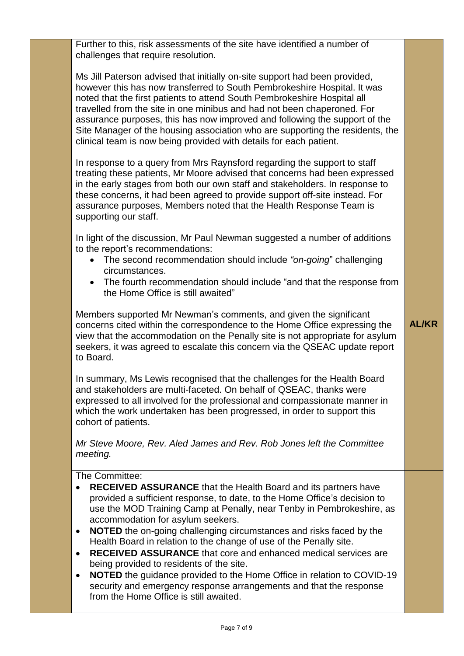Further to this, risk assessments of the site have identified a number of challenges that require resolution.

Ms Jill Paterson advised that initially on-site support had been provided, however this has now transferred to South Pembrokeshire Hospital. It was noted that the first patients to attend South Pembrokeshire Hospital all travelled from the site in one minibus and had not been chaperoned. For assurance purposes, this has now improved and following the support of the Site Manager of the housing association who are supporting the residents, the clinical team is now being provided with details for each patient.

In response to a query from Mrs Raynsford regarding the support to staff treating these patients, Mr Moore advised that concerns had been expressed in the early stages from both our own staff and stakeholders. In response to these concerns, it had been agreed to provide support off-site instead. For assurance purposes, Members noted that the Health Response Team is supporting our staff.

In light of the discussion, Mr Paul Newman suggested a number of additions to the report's recommendations:

- The second recommendation should include *"on-going*" challenging circumstances.
- The fourth recommendation should include "and that the response from the Home Office is still awaited"

Members supported Mr Newman's comments, and given the significant concerns cited within the correspondence to the Home Office expressing the view that the accommodation on the Penally site is not appropriate for asylum seekers, it was agreed to escalate this concern via the QSEAC update report to Board.

In summary, Ms Lewis recognised that the challenges for the Health Board and stakeholders are multi-faceted. On behalf of QSEAC, thanks were expressed to all involved for the professional and compassionate manner in which the work undertaken has been progressed, in order to support this cohort of patients.

*Mr Steve Moore, Rev. Aled James and Rev. Rob Jones left the Committee meeting.*

The Committee:

- **RECEIVED ASSURANCE** that the Health Board and its partners have provided a sufficient response, to date, to the Home Office's decision to use the MOD Training Camp at Penally, near Tenby in Pembrokeshire, as accommodation for asylum seekers.
- **NOTED** the on-going challenging circumstances and risks faced by the Health Board in relation to the change of use of the Penally site.
- **RECEIVED ASSURANCE** that core and enhanced medical services are being provided to residents of the site.
- **NOTED** the quidance provided to the Home Office in relation to COVID-19 security and emergency response arrangements and that the response from the Home Office is still awaited.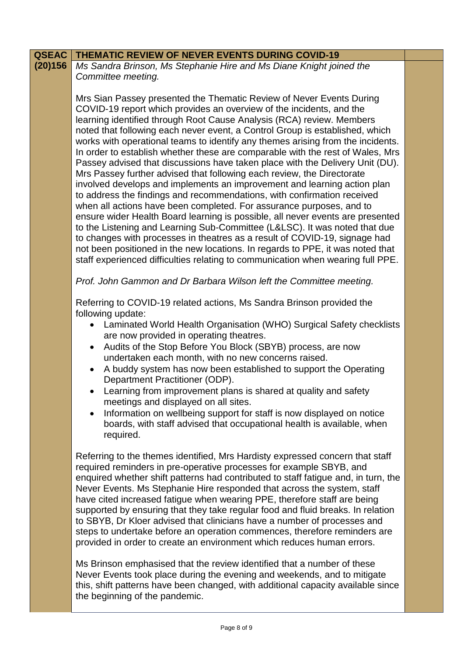| <b>QSEAC</b> | <b>THEMATIC REVIEW OF NEVER EVENTS DURING COVID-19</b>                                                                                                                                                                                                                                                                                                                                                                                                                                                                                                                                                                                                                                                                                                                                                                                                                                                                                                                                                                                                                                                                                                                                                                                                                                  |  |
|--------------|-----------------------------------------------------------------------------------------------------------------------------------------------------------------------------------------------------------------------------------------------------------------------------------------------------------------------------------------------------------------------------------------------------------------------------------------------------------------------------------------------------------------------------------------------------------------------------------------------------------------------------------------------------------------------------------------------------------------------------------------------------------------------------------------------------------------------------------------------------------------------------------------------------------------------------------------------------------------------------------------------------------------------------------------------------------------------------------------------------------------------------------------------------------------------------------------------------------------------------------------------------------------------------------------|--|
| (20)156      | Ms Sandra Brinson, Ms Stephanie Hire and Ms Diane Knight joined the                                                                                                                                                                                                                                                                                                                                                                                                                                                                                                                                                                                                                                                                                                                                                                                                                                                                                                                                                                                                                                                                                                                                                                                                                     |  |
|              | Committee meeting.                                                                                                                                                                                                                                                                                                                                                                                                                                                                                                                                                                                                                                                                                                                                                                                                                                                                                                                                                                                                                                                                                                                                                                                                                                                                      |  |
|              | Mrs Sian Passey presented the Thematic Review of Never Events During<br>COVID-19 report which provides an overview of the incidents, and the<br>learning identified through Root Cause Analysis (RCA) review. Members<br>noted that following each never event, a Control Group is established, which<br>works with operational teams to identify any themes arising from the incidents.<br>In order to establish whether these are comparable with the rest of Wales, Mrs<br>Passey advised that discussions have taken place with the Delivery Unit (DU).<br>Mrs Passey further advised that following each review, the Directorate<br>involved develops and implements an improvement and learning action plan<br>to address the findings and recommendations, with confirmation received<br>when all actions have been completed. For assurance purposes, and to<br>ensure wider Health Board learning is possible, all never events are presented<br>to the Listening and Learning Sub-Committee (L&LSC). It was noted that due<br>to changes with processes in theatres as a result of COVID-19, signage had<br>not been positioned in the new locations. In regards to PPE, it was noted that<br>staff experienced difficulties relating to communication when wearing full PPE. |  |
|              | Prof. John Gammon and Dr Barbara Wilson left the Committee meeting.                                                                                                                                                                                                                                                                                                                                                                                                                                                                                                                                                                                                                                                                                                                                                                                                                                                                                                                                                                                                                                                                                                                                                                                                                     |  |
|              | Referring to COVID-19 related actions, Ms Sandra Brinson provided the<br>following update:<br>Laminated World Health Organisation (WHO) Surgical Safety checklists<br>$\bullet$<br>are now provided in operating theatres.<br>Audits of the Stop Before You Block (SBYB) process, are now<br>$\bullet$<br>undertaken each month, with no new concerns raised.<br>A buddy system has now been established to support the Operating<br>$\bullet$<br>Department Practitioner (ODP).<br>Learning from improvement plans is shared at quality and safety<br>$\bullet$<br>meetings and displayed on all sites.<br>Information on wellbeing support for staff is now displayed on notice<br>$\bullet$<br>boards, with staff advised that occupational health is available, when<br>required.                                                                                                                                                                                                                                                                                                                                                                                                                                                                                                   |  |
|              | Referring to the themes identified, Mrs Hardisty expressed concern that staff<br>required reminders in pre-operative processes for example SBYB, and<br>enquired whether shift patterns had contributed to staff fatigue and, in turn, the<br>Never Events. Ms Stephanie Hire responded that across the system, staff<br>have cited increased fatigue when wearing PPE, therefore staff are being<br>supported by ensuring that they take regular food and fluid breaks. In relation<br>to SBYB, Dr Kloer advised that clinicians have a number of processes and<br>steps to undertake before an operation commences, therefore reminders are<br>provided in order to create an environment which reduces human errors.                                                                                                                                                                                                                                                                                                                                                                                                                                                                                                                                                                 |  |
|              | Ms Brinson emphasised that the review identified that a number of these<br>Never Events took place during the evening and weekends, and to mitigate                                                                                                                                                                                                                                                                                                                                                                                                                                                                                                                                                                                                                                                                                                                                                                                                                                                                                                                                                                                                                                                                                                                                     |  |

this, shift patterns have been changed, with additional capacity available since

the beginning of the pandemic.